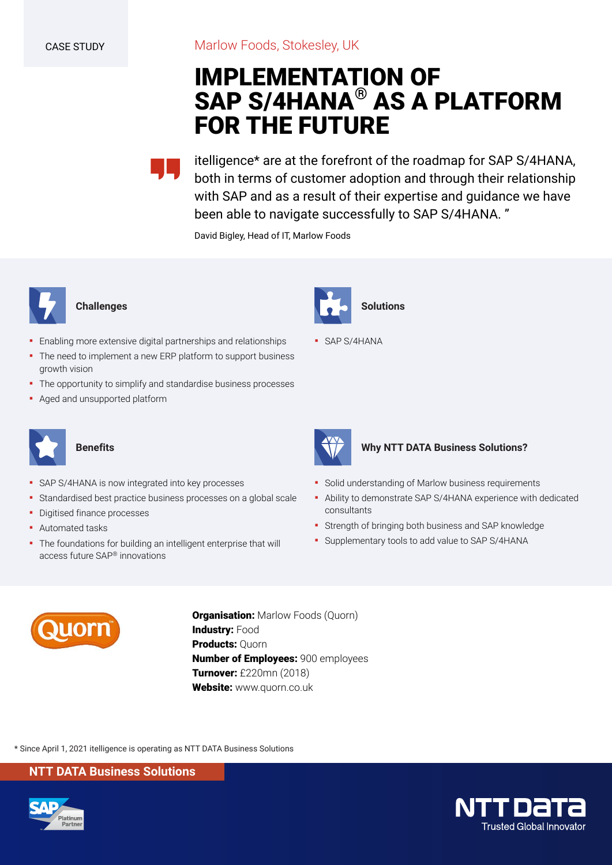# **IMPLEMENTATION OF SAP S/4HANA® AS A PLATFORM FOR THE FUTURE**

itelligence\* are at the forefront of the roadmap for SAP S/4HANA, both in terms of customer adoption and through their relationship with SAP and as a result of their expertise and guidance we have been able to navigate successfully to SAP S/4HANA. "

David Bigley, Head of IT, Marlow Foods



#### **Challenges**

- Enabling more extensive digital partnerships and relationships
- The need to implement a new ERP platform to support business growth vision
- **•** The opportunity to simplify and standardise business processes
- **Aged and unsupported platform**



### **Benefits**

- SAP S/4HANA is now integrated into key processes
- **EXTERCH Standardised best practice business processes on a global scale**
- **•** Digitised finance processes
- Automated tasks
- **The foundations for building an intelligent enterprise that will** access future SAP® innovations



▪ SAP S/4HANA



#### **Why NTT DATA Business Solutions?**

- **Solid understanding of Marlow business requirements**
- Ability to demonstrate SAP S/4HANA experience with dedicated consultants
- **•** Strength of bringing both business and SAP knowledge
- **·** Supplementary tools to add value to SAP S/4HANA



**Organisation:** Marlow Foods (Quorn) **Industry: Food Products:** Quorn **Number of Employees:** 900 employees **Turnover:** £220mn (2018) **Website:** www.quorn.co.uk

\* Since April 1, 2021 itelligence is operating as NTT DATA Business Solutions

**NTT DATA Business Solutions**